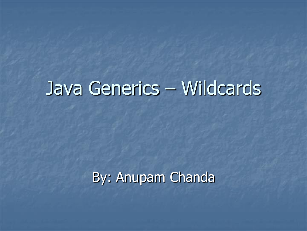# Java Generics – Wildcards

### By: Anupam Chanda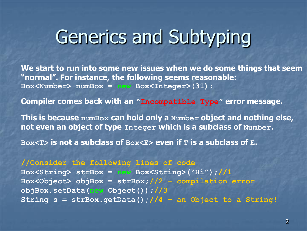# Generics and Subtyping

**We start to run into some new issues when we do some things that seem "normal". For instance, the following seems reasonable: Box<Number> numBox = new Box<Integer>(31);**

**Compiler comes back with an "Incompatible Type" error message.**

**This is because numBox can hold only a Number object and nothing else, not even an object of type Integer which is a subclass of Number.** 

**Box<T> is not a subclass of Box<E> even if T is a subclass of E.** 

**//Consider the following lines of code Box<String> strBox = new Box<String>("Hi");//1 Box<Object> objBox = strBox;//2 – compilation error objBox.setData(new Object());//3 String s = strBox.getData();//4 – an Object to a String!**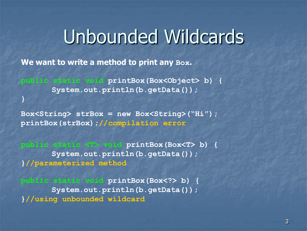## Unbounded Wildcards

**We want to write a method to print any Box.** 

**}**

**public static void printBox(Box<Object> b) { System.out.println(b.getData());**

**Box<String> strBox = new Box<String>("Hi"); printBox(strBox);//compilation error**

**public static <T> void printBox(Box<T> b) { System.out.println(b.getData()); }//parameterized method**

**public static void printBox(Box<?> b) { System.out.println(b.getData()); }//using unbounded wildcard**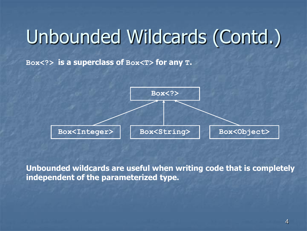# Unbounded Wildcards (Contd.)

**Box<?> is a superclass of Box<T> for any T.**



**Unbounded wildcards are useful when writing code that is completely independent of the parameterized type.**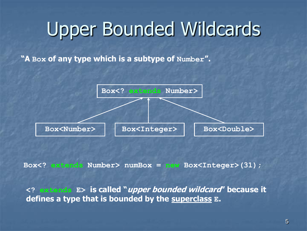# Upper Bounded Wildcards

**"A Box of any type which is a subtype of Number".**



**Box<? extends Number> numBox = new Box<Integer>(31);**

**<? extends E> is called "upper bounded wildcard" because it defines a type that is bounded by the superclass E.**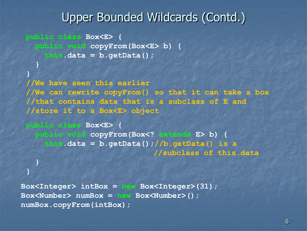### Upper Bounded Wildcards (Contd.)

**public class Box<E> { public void copyFrom(Box<E> b) { this.data = b.getData();**

**}**

**}**

**}**

**}**

**//We have seen this earlier //We can rewrite copyFrom() so that it can take a box //that contains data that is a subclass of E and //store it to a Box<E> object**

```
public class Box<E> {
 public void copyFrom(Box<? extends E> b) {
  this.data = b.getData();//b.getData() is a
                            //subclass of this.data
```
**Box<Integer> intBox = new Box<Integer>(31); Box<Number> numBox = new Box<Number>(); numBox.copyFrom(intBox);**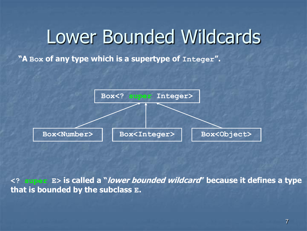# Lower Bounded Wildcards

**"A Box of any type which is a supertype of Integer".**



**<? super E> is called a "lower bounded wildcard" because it defines a type that is bounded by the subclass E.**